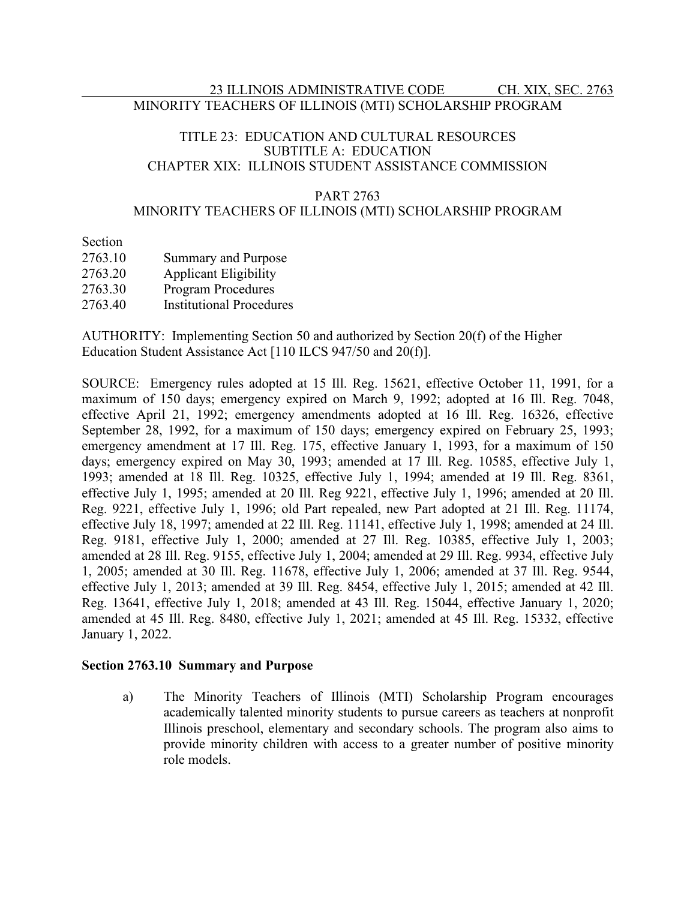## 23 ILLINOIS ADMINISTRATIVE CODE CH. XIX, SEC. 2763 MINORITY TEACHERS OF ILLINOIS (MTI) SCHOLARSHIP PROGRAM

### TITLE 23: EDUCATION AND CULTURAL RESOURCES SUBTITLE A: EDUCATION CHAPTER XIX: ILLINOIS STUDENT ASSISTANCE COMMISSION

### PART 2763

### MINORITY TEACHERS OF ILLINOIS (MTI) SCHOLARSHIP PROGRAM

Section

| 2763.10 | <b>Summary and Purpose</b>      |
|---------|---------------------------------|
| 2763.20 | <b>Applicant Eligibility</b>    |
| 2763.30 | <b>Program Procedures</b>       |
| 2763.40 | <b>Institutional Procedures</b> |

AUTHORITY: Implementing Section 50 and authorized by Section 20(f) of the Higher Education Student Assistance Act [110 ILCS 947/50 and 20(f)].

SOURCE: Emergency rules adopted at 15 Ill. Reg. 15621, effective October 11, 1991, for a maximum of 150 days; emergency expired on March 9, 1992; adopted at 16 Ill. Reg. 7048, effective April 21, 1992; emergency amendments adopted at 16 Ill. Reg. 16326, effective September 28, 1992, for a maximum of 150 days; emergency expired on February 25, 1993; emergency amendment at 17 Ill. Reg. 175, effective January 1, 1993, for a maximum of 150 days; emergency expired on May 30, 1993; amended at 17 Ill. Reg. 10585, effective July 1, 1993; amended at 18 Ill. Reg. 10325, effective July 1, 1994; amended at 19 Ill. Reg. 8361, effective July 1, 1995; amended at 20 Ill. Reg 9221, effective July 1, 1996; amended at 20 Ill. Reg. 9221, effective July 1, 1996; old Part repealed, new Part adopted at 21 Ill. Reg. 11174, effective July 18, 1997; amended at 22 Ill. Reg. 11141, effective July 1, 1998; amended at 24 Ill. Reg. 9181, effective July 1, 2000; amended at 27 Ill. Reg. 10385, effective July 1, 2003; amended at 28 Ill. Reg. 9155, effective July 1, 2004; amended at 29 Ill. Reg. 9934, effective July 1, 2005; amended at 30 Ill. Reg. 11678, effective July 1, 2006; amended at 37 Ill. Reg. 9544, effective July 1, 2013; amended at 39 Ill. Reg. 8454, effective July 1, 2015; amended at 42 Ill. Reg. 13641, effective July 1, 2018; amended at 43 Ill. Reg. 15044, effective January 1, 2020; amended at 45 Ill. Reg. 8480, effective July 1, 2021; amended at 45 Ill. Reg. 15332, effective January 1, 2022.

### **Section 2763.10 Summary and Purpose**

a) The Minority Teachers of Illinois (MTI) Scholarship Program encourages academically talented minority students to pursue careers as teachers at nonprofit Illinois preschool, elementary and secondary schools. The program also aims to provide minority children with access to a greater number of positive minority role models.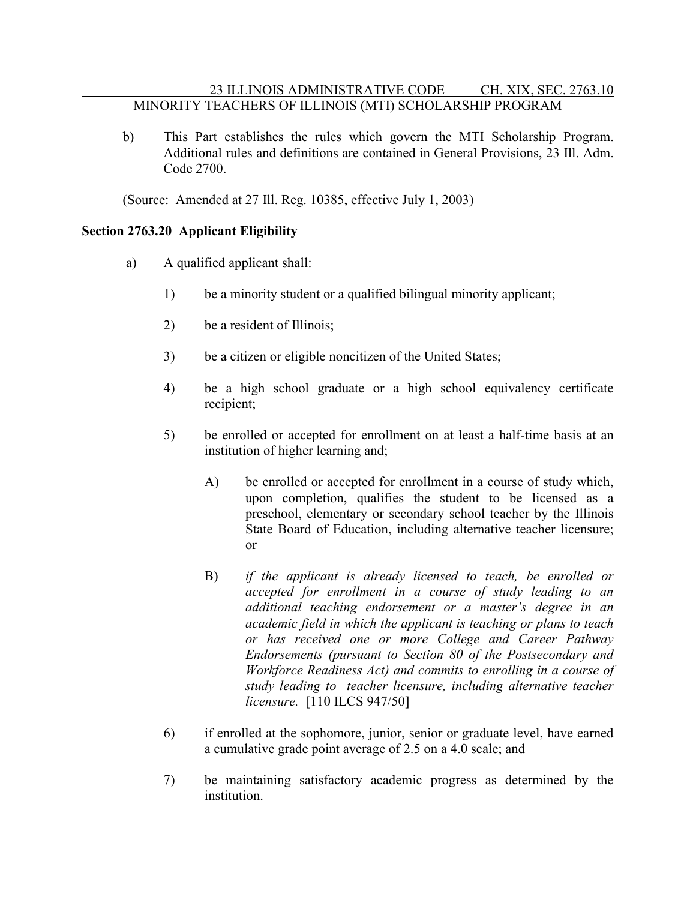# 23 ILLINOIS ADMINISTRATIVE CODE CH. XIX, SEC. 2763.10 MINORITY TEACHERS OF ILLINOIS (MTI) SCHOLARSHIP PROGRAM

b) This Part establishes the rules which govern the MTI Scholarship Program. Additional rules and definitions are contained in General Provisions, 23 Ill. Adm. Code 2700.

(Source: Amended at 27 Ill. Reg. 10385, effective July 1, 2003)

# **Section 2763.20 Applicant Eligibility**

- a) A qualified applicant shall:
	- 1) be a minority student or a qualified bilingual minority applicant;
	- 2) be a resident of Illinois;
	- 3) be a citizen or eligible noncitizen of the United States;
	- 4) be a high school graduate or a high school equivalency certificate recipient;
	- 5) be enrolled or accepted for enrollment on at least a half-time basis at an institution of higher learning and;
		- A) be enrolled or accepted for enrollment in a course of study which, upon completion, qualifies the student to be licensed as a preschool, elementary or secondary school teacher by the Illinois State Board of Education, including alternative teacher licensure; or
		- B) *if the applicant is already licensed to teach, be enrolled or accepted for enrollment in a course of study leading to an additional teaching endorsement or a master's degree in an academic field in which the applicant is teaching or plans to teach or has received one or more College and Career Pathway Endorsements (pursuant to Section 80 of the Postsecondary and Workforce Readiness Act) and commits to enrolling in a course of study leading to teacher licensure, including alternative teacher licensure.* [110 ILCS 947/50]
	- 6) if enrolled at the sophomore, junior, senior or graduate level, have earned a cumulative grade point average of 2.5 on a 4.0 scale; and
	- 7) be maintaining satisfactory academic progress as determined by the institution.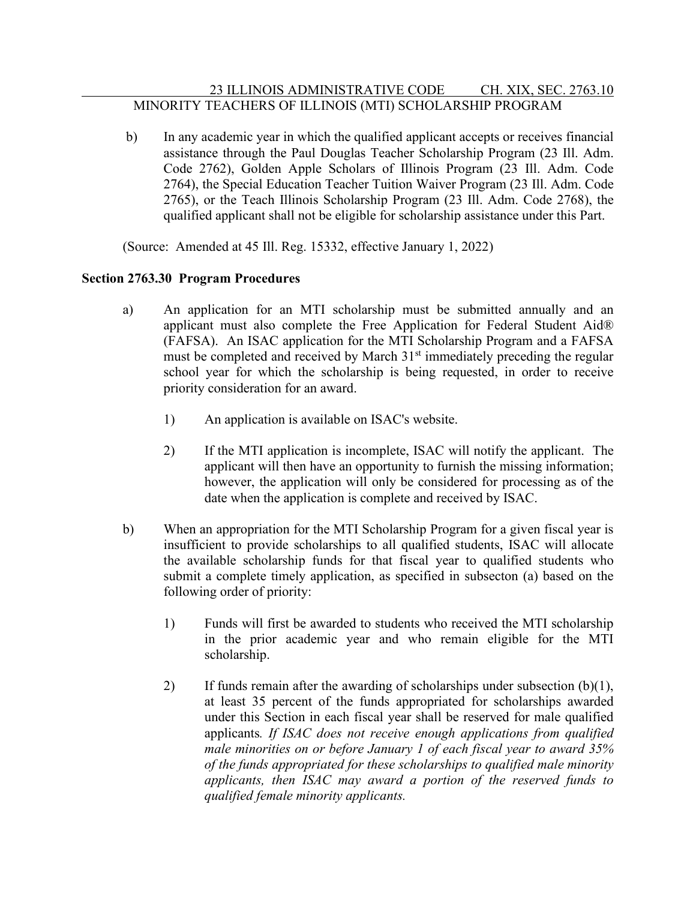# 23 ILLINOIS ADMINISTRATIVE CODE CH. XIX, SEC. 2763.10 MINORITY TEACHERS OF ILLINOIS (MTI) SCHOLARSHIP PROGRAM

b) In any academic year in which the qualified applicant accepts or receives financial assistance through the Paul Douglas Teacher Scholarship Program (23 Ill. Adm. Code 2762), Golden Apple Scholars of Illinois Program (23 Ill. Adm. Code 2764), the Special Education Teacher Tuition Waiver Program (23 Ill. Adm. Code 2765), or the Teach Illinois Scholarship Program (23 Ill. Adm. Code 2768), the qualified applicant shall not be eligible for scholarship assistance under this Part.

(Source: Amended at 45 Ill. Reg. 15332, effective January 1, 2022)

# **Section 2763.30 Program Procedures**

- a) An application for an MTI scholarship must be submitted annually and an applicant must also complete the Free Application for Federal Student Aid® (FAFSA). An ISAC application for the MTI Scholarship Program and a FAFSA must be completed and received by March  $31<sup>st</sup>$  immediately preceding the regular school year for which the scholarship is being requested, in order to receive priority consideration for an award.
	- 1) An application is available on ISAC's website.
	- 2) If the MTI application is incomplete, ISAC will notify the applicant. The applicant will then have an opportunity to furnish the missing information; however, the application will only be considered for processing as of the date when the application is complete and received by ISAC.
- b) When an appropriation for the MTI Scholarship Program for a given fiscal year is insufficient to provide scholarships to all qualified students, ISAC will allocate the available scholarship funds for that fiscal year to qualified students who submit a complete timely application, as specified in subsecton (a) based on the following order of priority:
	- 1) Funds will first be awarded to students who received the MTI scholarship in the prior academic year and who remain eligible for the MTI scholarship.
	- 2) If funds remain after the awarding of scholarships under subsection  $(b)(1)$ , at least 35 percent of the funds appropriated for scholarships awarded under this Section in each fiscal year shall be reserved for male qualified applicants*. If ISAC does not receive enough applications from qualified male minorities on or before January 1 of each fiscal year to award 35% of the funds appropriated for these scholarships to qualified male minority applicants, then ISAC may award a portion of the reserved funds to qualified female minority applicants.*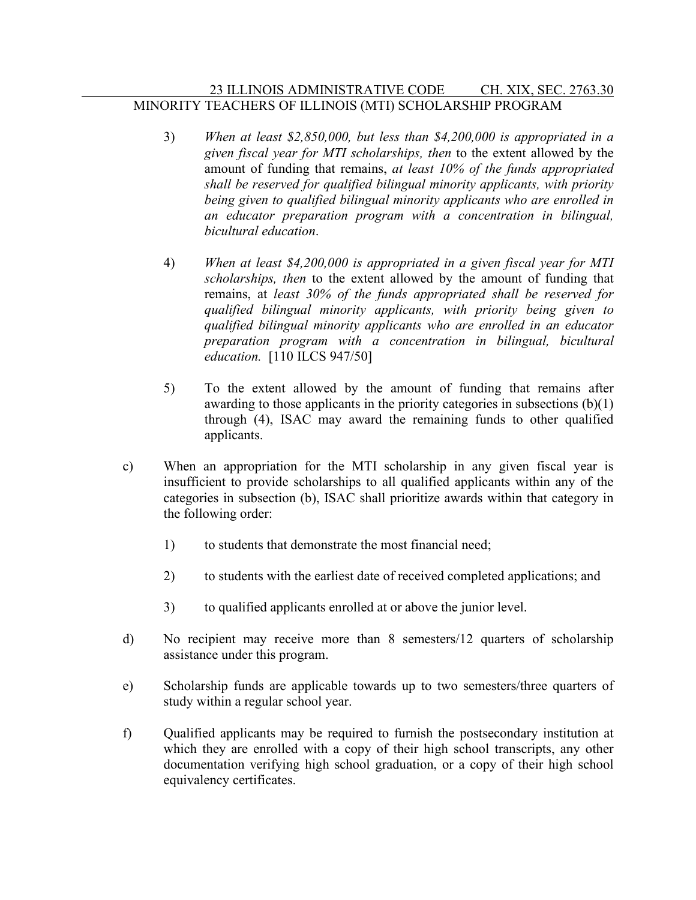# 23 ILLINOIS ADMINISTRATIVE CODE CH. XIX, SEC. 2763.30 MINORITY TEACHERS OF ILLINOIS (MTI) SCHOLARSHIP PROGRAM

- 3) *When at least \$2,850,000, but less than \$4,200,000 is appropriated in a given fiscal year for MTI scholarships, then* to the extent allowed by the amount of funding that remains, *at least 10% of the funds appropriated shall be reserved for qualified bilingual minority applicants, with priority being given to qualified bilingual minority applicants who are enrolled in an educator preparation program with a concentration in bilingual, bicultural education*.
- 4) *When at least \$4,200,000 is appropriated in a given fiscal year for MTI scholarships, then* to the extent allowed by the amount of funding that remains, at *least 30% of the funds appropriated shall be reserved for qualified bilingual minority applicants, with priority being given to qualified bilingual minority applicants who are enrolled in an educator preparation program with a concentration in bilingual, bicultural education.* [110 ILCS 947/50]
- 5) To the extent allowed by the amount of funding that remains after awarding to those applicants in the priority categories in subsections (b)(1) through (4), ISAC may award the remaining funds to other qualified applicants.
- c) When an appropriation for the MTI scholarship in any given fiscal year is insufficient to provide scholarships to all qualified applicants within any of the categories in subsection (b), ISAC shall prioritize awards within that category in the following order:
	- 1) to students that demonstrate the most financial need;
	- 2) to students with the earliest date of received completed applications; and
	- 3) to qualified applicants enrolled at or above the junior level.
- d) No recipient may receive more than 8 semesters/12 quarters of scholarship assistance under this program.
- e) Scholarship funds are applicable towards up to two semesters/three quarters of study within a regular school year.
- f) Qualified applicants may be required to furnish the postsecondary institution at which they are enrolled with a copy of their high school transcripts, any other documentation verifying high school graduation, or a copy of their high school equivalency certificates.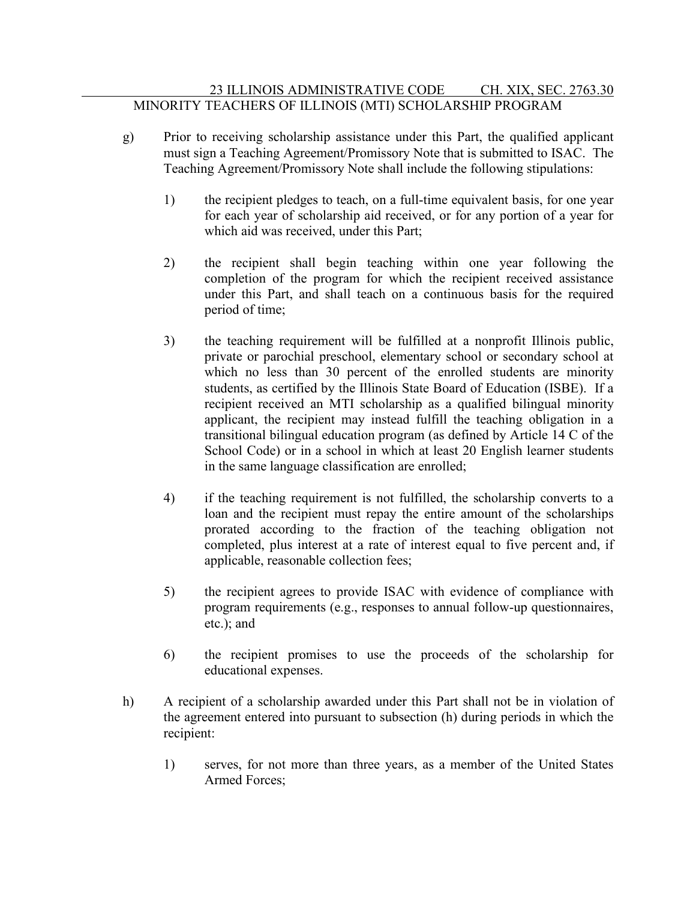- g) Prior to receiving scholarship assistance under this Part, the qualified applicant must sign a Teaching Agreement/Promissory Note that is submitted to ISAC. The Teaching Agreement/Promissory Note shall include the following stipulations:
	- 1) the recipient pledges to teach, on a full-time equivalent basis, for one year for each year of scholarship aid received, or for any portion of a year for which aid was received, under this Part;
	- 2) the recipient shall begin teaching within one year following the completion of the program for which the recipient received assistance under this Part, and shall teach on a continuous basis for the required period of time;
	- 3) the teaching requirement will be fulfilled at a nonprofit Illinois public, private or parochial preschool, elementary school or secondary school at which no less than 30 percent of the enrolled students are minority students, as certified by the Illinois State Board of Education (ISBE). If a recipient received an MTI scholarship as a qualified bilingual minority applicant, the recipient may instead fulfill the teaching obligation in a transitional bilingual education program (as defined by Article 14 C of the School Code) or in a school in which at least 20 English learner students in the same language classification are enrolled;
	- 4) if the teaching requirement is not fulfilled, the scholarship converts to a loan and the recipient must repay the entire amount of the scholarships prorated according to the fraction of the teaching obligation not completed, plus interest at a rate of interest equal to five percent and, if applicable, reasonable collection fees;
	- 5) the recipient agrees to provide ISAC with evidence of compliance with program requirements (e.g., responses to annual follow-up questionnaires, etc.); and
	- 6) the recipient promises to use the proceeds of the scholarship for educational expenses.
- h) A recipient of a scholarship awarded under this Part shall not be in violation of the agreement entered into pursuant to subsection (h) during periods in which the recipient:
	- 1) serves, for not more than three years, as a member of the United States Armed Forces;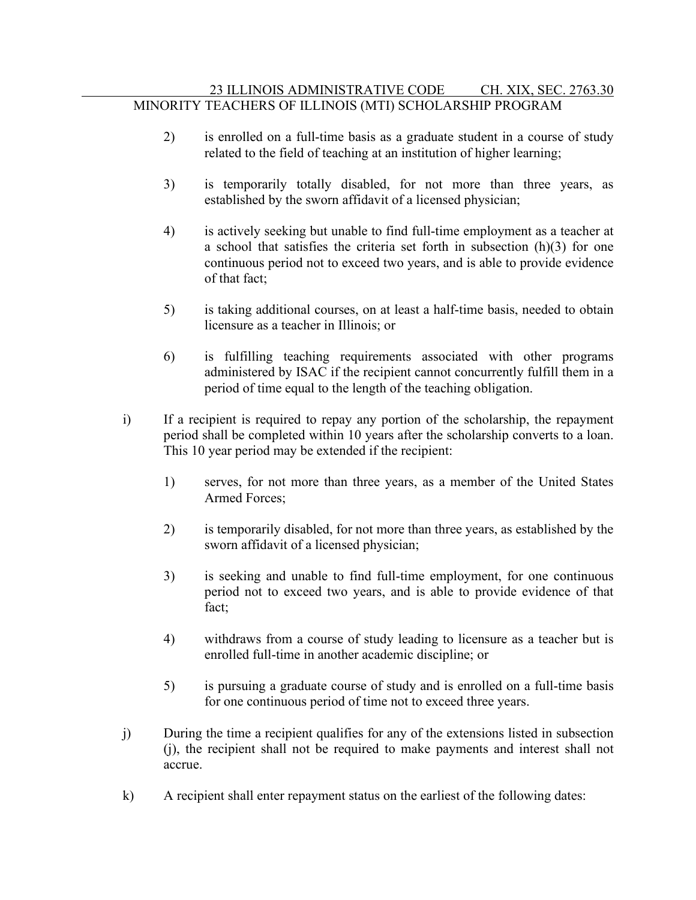- 2) is enrolled on a full-time basis as a graduate student in a course of study related to the field of teaching at an institution of higher learning;
- 3) is temporarily totally disabled, for not more than three years, as established by the sworn affidavit of a licensed physician;
- 4) is actively seeking but unable to find full-time employment as a teacher at a school that satisfies the criteria set forth in subsection (h)(3) for one continuous period not to exceed two years, and is able to provide evidence of that fact;
- 5) is taking additional courses, on at least a half-time basis, needed to obtain licensure as a teacher in Illinois; or
- 6) is fulfilling teaching requirements associated with other programs administered by ISAC if the recipient cannot concurrently fulfill them in a period of time equal to the length of the teaching obligation.
- i) If a recipient is required to repay any portion of the scholarship, the repayment period shall be completed within 10 years after the scholarship converts to a loan. This 10 year period may be extended if the recipient:
	- 1) serves, for not more than three years, as a member of the United States Armed Forces;
	- 2) is temporarily disabled, for not more than three years, as established by the sworn affidavit of a licensed physician;
	- 3) is seeking and unable to find full-time employment, for one continuous period not to exceed two years, and is able to provide evidence of that fact;
	- 4) withdraws from a course of study leading to licensure as a teacher but is enrolled full-time in another academic discipline; or
	- 5) is pursuing a graduate course of study and is enrolled on a full-time basis for one continuous period of time not to exceed three years.
- j) During the time a recipient qualifies for any of the extensions listed in subsection (j), the recipient shall not be required to make payments and interest shall not accrue.
- k) A recipient shall enter repayment status on the earliest of the following dates: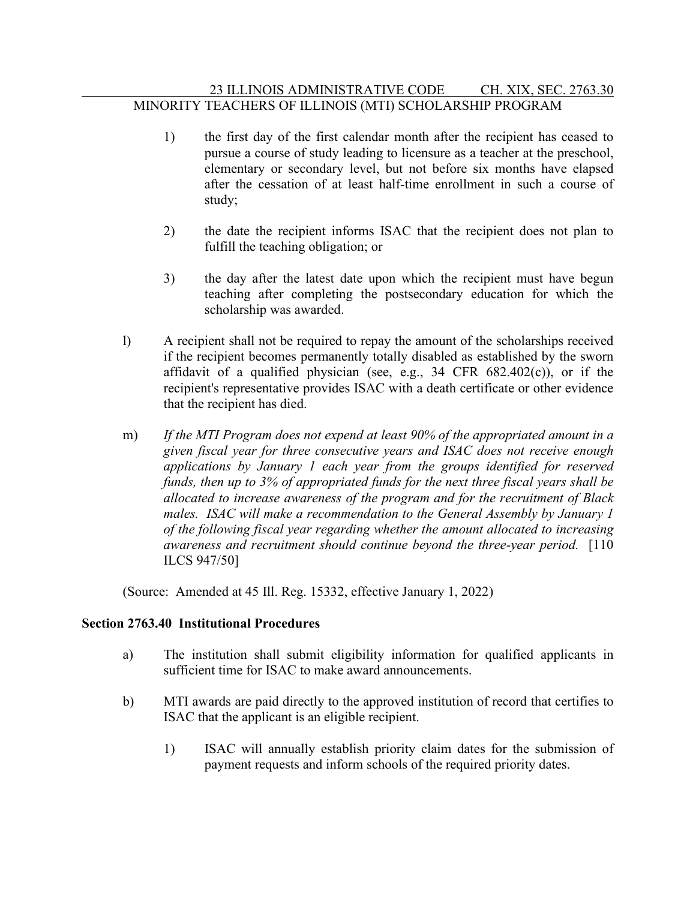# 23 ILLINOIS ADMINISTRATIVE CODE CH. XIX, SEC. 2763.30 MINORITY TEACHERS OF ILLINOIS (MTI) SCHOLARSHIP PROGRAM

- 1) the first day of the first calendar month after the recipient has ceased to pursue a course of study leading to licensure as a teacher at the preschool, elementary or secondary level, but not before six months have elapsed after the cessation of at least half-time enrollment in such a course of study;
- 2) the date the recipient informs ISAC that the recipient does not plan to fulfill the teaching obligation; or
- 3) the day after the latest date upon which the recipient must have begun teaching after completing the postsecondary education for which the scholarship was awarded.
- l) A recipient shall not be required to repay the amount of the scholarships received if the recipient becomes permanently totally disabled as established by the sworn affidavit of a qualified physician (see, e.g., 34 CFR 682.402(c)), or if the recipient's representative provides ISAC with a death certificate or other evidence that the recipient has died.
- m) *If the MTI Program does not expend at least 90% of the appropriated amount in a given fiscal year for three consecutive years and ISAC does not receive enough applications by January 1 each year from the groups identified for reserved funds, then up to 3% of appropriated funds for the next three fiscal years shall be allocated to increase awareness of the program and for the recruitment of Black males. ISAC will make a recommendation to the General Assembly by January 1 of the following fiscal year regarding whether the amount allocated to increasing awareness and recruitment should continue beyond the three-year period.* [110 ILCS 947/50]

(Source: Amended at 45 Ill. Reg. 15332, effective January 1, 2022)

### **Section 2763.40 Institutional Procedures**

- a) The institution shall submit eligibility information for qualified applicants in sufficient time for ISAC to make award announcements.
- b) MTI awards are paid directly to the approved institution of record that certifies to ISAC that the applicant is an eligible recipient.
	- 1) ISAC will annually establish priority claim dates for the submission of payment requests and inform schools of the required priority dates.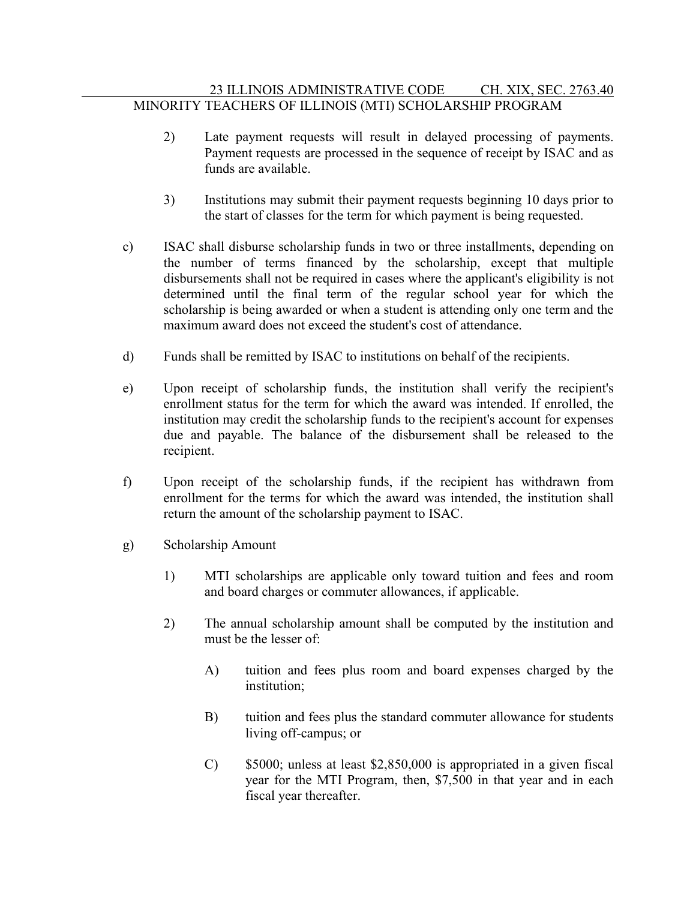# 23 ILLINOIS ADMINISTRATIVE CODE CH. XIX, SEC. 2763.40 MINORITY TEACHERS OF ILLINOIS (MTI) SCHOLARSHIP PROGRAM

- 2) Late payment requests will result in delayed processing of payments. Payment requests are processed in the sequence of receipt by ISAC and as funds are available.
- 3) Institutions may submit their payment requests beginning 10 days prior to the start of classes for the term for which payment is being requested.
- c) ISAC shall disburse scholarship funds in two or three installments, depending on the number of terms financed by the scholarship, except that multiple disbursements shall not be required in cases where the applicant's eligibility is not determined until the final term of the regular school year for which the scholarship is being awarded or when a student is attending only one term and the maximum award does not exceed the student's cost of attendance.
- d) Funds shall be remitted by ISAC to institutions on behalf of the recipients.
- e) Upon receipt of scholarship funds, the institution shall verify the recipient's enrollment status for the term for which the award was intended. If enrolled, the institution may credit the scholarship funds to the recipient's account for expenses due and payable. The balance of the disbursement shall be released to the recipient.
- f) Upon receipt of the scholarship funds, if the recipient has withdrawn from enrollment for the terms for which the award was intended, the institution shall return the amount of the scholarship payment to ISAC.
- g) Scholarship Amount
	- 1) MTI scholarships are applicable only toward tuition and fees and room and board charges or commuter allowances, if applicable.
	- 2) The annual scholarship amount shall be computed by the institution and must be the lesser of:
		- A) tuition and fees plus room and board expenses charged by the institution;
		- B) tuition and fees plus the standard commuter allowance for students living off-campus; or
		- C) \$5000; unless at least \$2,850,000 is appropriated in a given fiscal year for the MTI Program, then, \$7,500 in that year and in each fiscal year thereafter.